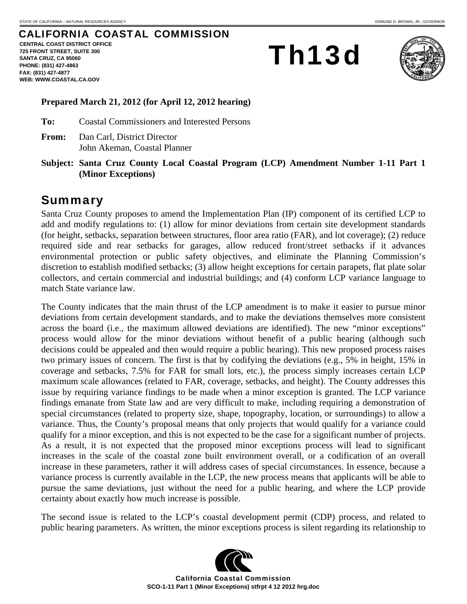## CALIFORNIA COASTAL COMMISSION

**CENTRAL COAST DISTRICT OFFICE 725 FRONT STREET, SUITE 300 SANTA CRUZ, CA 95060 PHONE: (831) 427-4863 FAX: (831) 427-4877 WEB: WWW.COASTAL.CA.GOV**

Th13d



#### **Prepared March 21, 2012 (for April 12, 2012 hearing)**

**To:** Coastal Commissioners and Interested Persons

- **From:** Dan Carl, District Director John Akeman, Coastal Planner
- **Subject: Santa Cruz County Local Coastal Program (LCP) Amendment Number 1-11 Part 1 (Minor Exceptions)**

## Summary

Santa Cruz County proposes to amend the Implementation Plan (IP) component of its certified LCP to add and modify regulations to: (1) allow for minor deviations from certain site development standards (for height, setbacks, separation between structures, floor area ratio (FAR), and lot coverage); (2) reduce required side and rear setbacks for garages, allow reduced front/street setbacks if it advances environmental protection or public safety objectives, and eliminate the Planning Commission's discretion to establish modified setbacks; (3) allow height exceptions for certain parapets, flat plate solar collectors, and certain commercial and industrial buildings; and (4) conform LCP variance language to match State variance law.

The County indicates that the main thrust of the LCP amendment is to make it easier to pursue minor deviations from certain development standards, and to make the deviations themselves more consistent across the board (i.e., the maximum allowed deviations are identified). The new "minor exceptions" process would allow for the minor deviations without benefit of a public hearing (although such decisions could be appealed and then would require a public hearing). This new proposed process raises two primary issues of concern. The first is that by codifying the deviations (e.g., 5% in height, 15% in coverage and setbacks, 7.5% for FAR for small lots, etc.), the process simply increases certain LCP maximum scale allowances (related to FAR, coverage, setbacks, and height). The County addresses this issue by requiring variance findings to be made when a minor exception is granted. The LCP variance findings emanate from State law and are very difficult to make, including requiring a demonstration of special circumstances (related to property size, shape, topography, location, or surroundings) to allow a variance. Thus, the County's proposal means that only projects that would qualify for a variance could qualify for a minor exception, and this is not expected to be the case for a significant number of projects. As a result, it is not expected that the proposed minor exceptions process will lead to significant increases in the scale of the coastal zone built environment overall, or a codification of an overall increase in these parameters, rather it will address cases of special circumstances. In essence, because a variance process is currently available in the LCP, the new process means that applicants will be able to pursue the same deviations, just without the need for a public hearing, and where the LCP provide certainty about exactly how much increase is possible.

The second issue is related to the LCP's coastal development permit (CDP) process, and related to public hearing parameters. As written, the minor exceptions process is silent regarding its relationship to

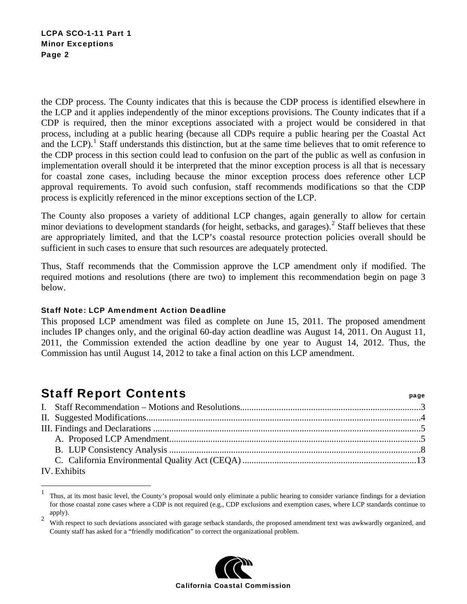the CDP process. The County indicates that this is because the CDP process is identified elsewhere in the LCP and it applies independently of the minor exceptions provisions. The County indicates that if a CDP is required, then the minor exceptions associated with a project would be considered in that process, including at a public hearing (because all CDPs require a public hearing per the Coastal Act and the LCP).<sup>[1](#page-1-0)</sup> Staff understands this distinction, but at the same time believes that to omit reference to the CDP process in this section could lead to confusion on the part of the public as well as confusion in implementation overall should it be interpreted that the minor exception process is all that is necessary for coastal zone cases, including because the minor exception process does reference other LCP approval requirements. To avoid such confusion, staff recommends modifications so that the CDP process is explicitly referenced in the minor exceptions section of the LCP.

The County also proposes a variety of additional LCP changes, again generally to allow for certain minor deviations to development standards (for height, setbacks, and garages).<sup>[2](#page-1-1)</sup> Staff believes that these are appropriately limited, and that the LCP's coastal resource protection policies overall should be sufficient in such cases to ensure that such resources are adequately protected.

Thus, Staff recommends that the Commission approve the LCP amendment only if modified. The required motions and resolutions (there are two) to implement this recommendation begin on page 3 below.

#### Staff Note: LCP Amendment Action Deadline

This proposed LCP amendment was filed as complete on June 15, 2011. The proposed amendment includes IP changes only, and the original 60-day action deadline was August 14, 2011. On August 11, 2011, the Commission extended the action deadline by one year to August 14, 2012. Thus, the Commission has until August 14, 2012 to take a final action on this LCP amendment.

# Staff Report Contents **Staff Report Contents**

 $\overline{a}$ 

| IV. Exhibits |  |  |  |
|--------------|--|--|--|

<span id="page-1-1"></span><sup>2</sup> With respect to such deviations associated with garage setback standards, the proposed amendment text was awkwardly organized, and County staff has asked for a "friendly modification" to correct the organizational problem.



<span id="page-1-0"></span><sup>1</sup> Thus, at its most basic level, the County's proposal would only eliminate a public hearing to consider variance findings for a deviation for those coastal zone cases where a CDP is not required (e.g., CDP exclusions and exemption cases, where LCP standards continue to apply).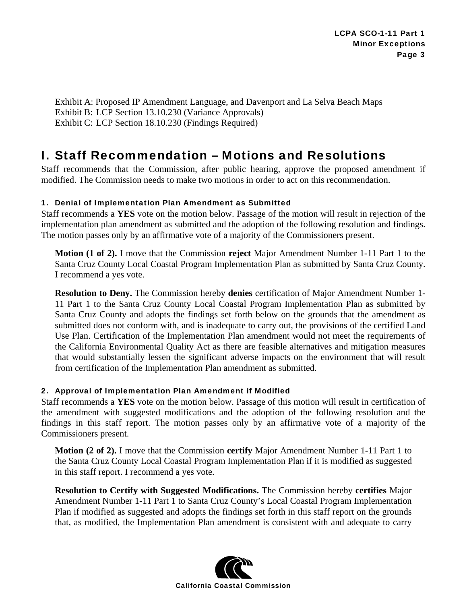Exhibit A: Proposed IP Amendment Language, and Davenport and La Selva Beach Maps Exhibit B: LCP Section 13.10.230 (Variance Approvals) Exhibit C: LCP Section 18.10.230 (Findings Required)

# I. Staff Recommendation – Motions and Resolutions

Staff recommends that the Commission, after public hearing, approve the proposed amendment if modified. The Commission needs to make two motions in order to act on this recommendation.

### 1. Denial of Implementation Plan Amendment as Submitted

Staff recommends a **YES** vote on the motion below. Passage of the motion will result in rejection of the implementation plan amendment as submitted and the adoption of the following resolution and findings. The motion passes only by an affirmative vote of a majority of the Commissioners present.

**Motion (1 of 2).** I move that the Commission **reject** Major Amendment Number 1-11 Part 1 to the Santa Cruz County Local Coastal Program Implementation Plan as submitted by Santa Cruz County. I recommend a yes vote.

**Resolution to Deny.** The Commission hereby **denies** certification of Major Amendment Number 1- 11 Part 1 to the Santa Cruz County Local Coastal Program Implementation Plan as submitted by Santa Cruz County and adopts the findings set forth below on the grounds that the amendment as submitted does not conform with, and is inadequate to carry out, the provisions of the certified Land Use Plan. Certification of the Implementation Plan amendment would not meet the requirements of the California Environmental Quality Act as there are feasible alternatives and mitigation measures that would substantially lessen the significant adverse impacts on the environment that will result from certification of the Implementation Plan amendment as submitted.

#### 2. Approval of Implementation Plan Amendment if Modified

Staff recommends a **YES** vote on the motion below. Passage of this motion will result in certification of the amendment with suggested modifications and the adoption of the following resolution and the findings in this staff report. The motion passes only by an affirmative vote of a majority of the Commissioners present.

**Motion (2 of 2).** I move that the Commission **certify** Major Amendment Number 1-11 Part 1 to the Santa Cruz County Local Coastal Program Implementation Plan if it is modified as suggested in this staff report. I recommend a yes vote.

**Resolution to Certify with Suggested Modifications.** The Commission hereby **certifies** Major Amendment Number 1-11 Part 1 to Santa Cruz County's Local Coastal Program Implementation Plan if modified as suggested and adopts the findings set forth in this staff report on the grounds that, as modified, the Implementation Plan amendment is consistent with and adequate to carry

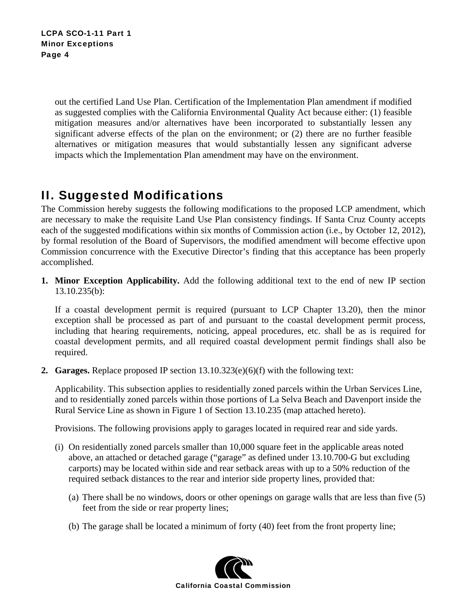out the certified Land Use Plan. Certification of the Implementation Plan amendment if modified as suggested complies with the California Environmental Quality Act because either: (1) feasible mitigation measures and/or alternatives have been incorporated to substantially lessen any significant adverse effects of the plan on the environment; or (2) there are no further feasible alternatives or mitigation measures that would substantially lessen any significant adverse impacts which the Implementation Plan amendment may have on the environment.

# II. Suggested Modifications

The Commission hereby suggests the following modifications to the proposed LCP amendment, which are necessary to make the requisite Land Use Plan consistency findings. If Santa Cruz County accepts each of the suggested modifications within six months of Commission action (i.e., by October 12, 2012), by formal resolution of the Board of Supervisors, the modified amendment will become effective upon Commission concurrence with the Executive Director's finding that this acceptance has been properly accomplished.

**1. Minor Exception Applicability.** Add the following additional text to the end of new IP section 13.10.235(b):

If a coastal development permit is required (pursuant to LCP Chapter 13.20), then the minor exception shall be processed as part of and pursuant to the coastal development permit process, including that hearing requirements, noticing, appeal procedures, etc. shall be as is required for coastal development permits, and all required coastal development permit findings shall also be required.

**2. Garages.** Replace proposed IP section  $13.10.323(e)(6)(f)$  with the following text:

Applicability. This subsection applies to residentially zoned parcels within the Urban Services Line, and to residentially zoned parcels within those portions of La Selva Beach and Davenport inside the Rural Service Line as shown in Figure 1 of Section 13.10.235 (map attached hereto).

Provisions. The following provisions apply to garages located in required rear and side yards.

- (i) On residentially zoned parcels smaller than 10,000 square feet in the applicable areas noted above, an attached or detached garage ("garage" as defined under 13.10.700-G but excluding carports) may be located within side and rear setback areas with up to a 50% reduction of the required setback distances to the rear and interior side property lines, provided that:
	- (a) There shall be no windows, doors or other openings on garage walls that are less than five (5) feet from the side or rear property lines;
	- (b) The garage shall be located a minimum of forty (40) feet from the front property line;

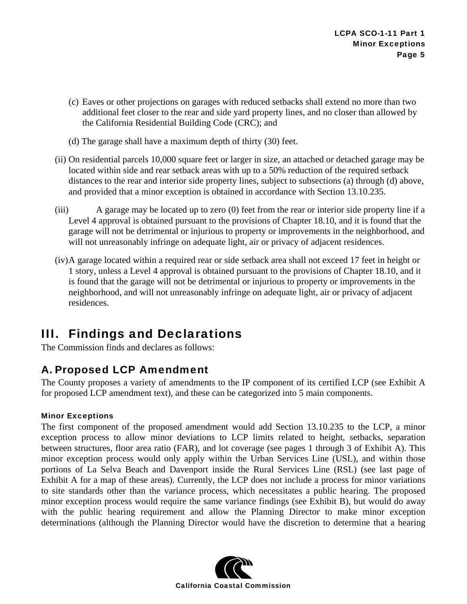- (c) Eaves or other projections on garages with reduced setbacks shall extend no more than two additional feet closer to the rear and side yard property lines, and no closer than allowed by the California Residential Building Code (CRC); and
- (d) The garage shall have a maximum depth of thirty (30) feet.
- (ii) On residential parcels 10,000 square feet or larger in size, an attached or detached garage may be located within side and rear setback areas with up to a 50% reduction of the required setback distances to the rear and interior side property lines, subject to subsections (a) through (d) above, and provided that a minor exception is obtained in accordance with Section 13.10.235.
- (iii) A garage may be located up to zero (0) feet from the rear or interior side property line if a Level 4 approval is obtained pursuant to the provisions of Chapter 18.10, and it is found that the garage will not be detrimental or injurious to property or improvements in the neighborhood, and will not unreasonably infringe on adequate light, air or privacy of adjacent residences.
- (iv) A garage located within a required rear or side setback area shall not exceed 17 feet in height or 1 story, unless a Level 4 approval is obtained pursuant to the provisions of Chapter 18.10, and it is found that the garage will not be detrimental or injurious to property or improvements in the neighborhood, and will not unreasonably infringe on adequate light, air or privacy of adjacent residences.

# III. Findings and Declarations

The Commission finds and declares as follows:

## A. Proposed LCP Amendment

The County proposes a variety of amendments to the IP component of its certified LCP (see Exhibit A for proposed LCP amendment text), and these can be categorized into 5 main components.

### Minor Exceptions

The first component of the proposed amendment would add Section 13.10.235 to the LCP, a minor exception process to allow minor deviations to LCP limits related to height, setbacks, separation between structures, floor area ratio (FAR), and lot coverage (see pages 1 through 3 of Exhibit A). This minor exception process would only apply within the Urban Services Line (USL), and within those portions of La Selva Beach and Davenport inside the Rural Services Line (RSL) (see last page of Exhibit A for a map of these areas). Currently, the LCP does not include a process for minor variations to site standards other than the variance process, which necessitates a public hearing. The proposed minor exception process would require the same variance findings (see Exhibit B), but would do away with the public hearing requirement and allow the Planning Director to make minor exception determinations (although the Planning Director would have the discretion to determine that a hearing

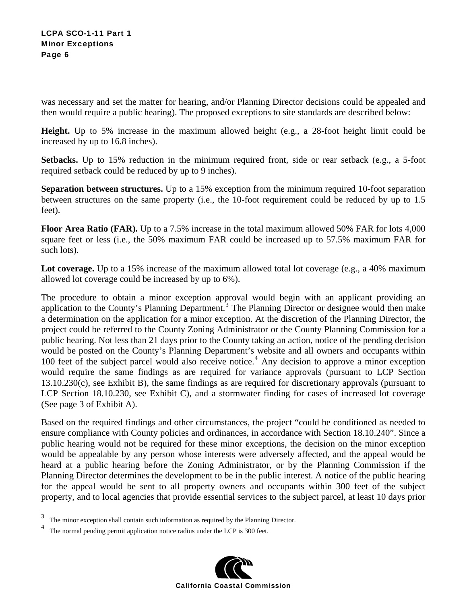was necessary and set the matter for hearing, and/or Planning Director decisions could be appealed and then would require a public hearing). The proposed exceptions to site standards are described below:

**Height.** Up to 5% increase in the maximum allowed height (e.g., a 28-foot height limit could be increased by up to 16.8 inches).

**Setbacks.** Up to 15% reduction in the minimum required front, side or rear setback (e.g., a 5-foot required setback could be reduced by up to 9 inches).

**Separation between structures.** Up to a 15% exception from the minimum required 10-foot separation between structures on the same property (i.e., the 10-foot requirement could be reduced by up to 1.5 feet).

**Floor Area Ratio (FAR).** Up to a 7.5% increase in the total maximum allowed 50% FAR for lots 4,000 square feet or less (i.e., the 50% maximum FAR could be increased up to 57.5% maximum FAR for such lots).

Lot coverage. Up to a 15% increase of the maximum allowed total lot coverage (e.g., a 40% maximum allowed lot coverage could be increased by up to 6%).

The procedure to obtain a minor exception approval would begin with an applicant providing an application to the County's Planning Department.<sup>[3](#page-5-0)</sup> The Planning Director or designee would then make a determination on the application for a minor exception. At the discretion of the Planning Director, the project could be referred to the County Zoning Administrator or the County Planning Commission for a public hearing. Not less than 21 days prior to the County taking an action, notice of the pending decision would be posted on the County's Planning Department's website and all owners and occupants within 100 feet of the subject parcel would also receive notice.<sup>[4](#page-5-1)</sup> Any decision to approve a minor exception would require the same findings as are required for variance approvals (pursuant to LCP Section 13.10.230(c), see Exhibit B), the same findings as are required for discretionary approvals (pursuant to LCP Section 18.10.230, see Exhibit C), and a stormwater finding for cases of increased lot coverage (See page 3 of Exhibit A).

Based on the required findings and other circumstances, the project "could be conditioned as needed to ensure compliance with County policies and ordinances, in accordance with Section 18.10.240". Since a public hearing would not be required for these minor exceptions, the decision on the minor exception would be appealable by any person whose interests were adversely affected, and the appeal would be heard at a public hearing before the Zoning Administrator, or by the Planning Commission if the Planning Director determines the development to be in the public interest. A notice of the public hearing for the appeal would be sent to all property owners and occupants within 300 feet of the subject property, and to local agencies that provide essential services to the subject parcel, at least 10 days prior

 $\overline{a}$ 



<span id="page-5-0"></span><sup>3</sup> The minor exception shall contain such information as required by the Planning Director.

<span id="page-5-1"></span><sup>4</sup> The normal pending permit application notice radius under the LCP is 300 feet.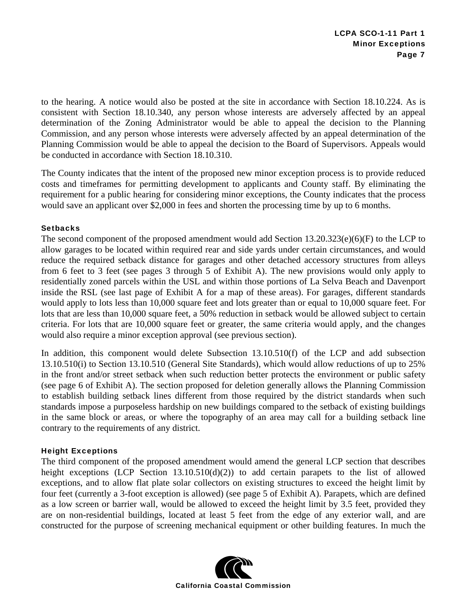to the hearing. A notice would also be posted at the site in accordance with Section 18.10.224. As is consistent with Section 18.10.340, any person whose interests are adversely affected by an appeal determination of the Zoning Administrator would be able to appeal the decision to the Planning Commission, and any person whose interests were adversely affected by an appeal determination of the Planning Commission would be able to appeal the decision to the Board of Supervisors. Appeals would be conducted in accordance with Section 18.10.310.

The County indicates that the intent of the proposed new minor exception process is to provide reduced costs and timeframes for permitting development to applicants and County staff. By eliminating the requirement for a public hearing for considering minor exceptions, the County indicates that the process would save an applicant over \$2,000 in fees and shorten the processing time by up to 6 months.

#### **Setbacks**

The second component of the proposed amendment would add Section 13.20.323(e)(6)(F) to the LCP to allow garages to be located within required rear and side yards under certain circumstances, and would reduce the required setback distance for garages and other detached accessory structures from alleys from 6 feet to 3 feet (see pages 3 through 5 of Exhibit A). The new provisions would only apply to residentially zoned parcels within the USL and within those portions of La Selva Beach and Davenport inside the RSL (see last page of Exhibit A for a map of these areas). For garages, different standards would apply to lots less than 10,000 square feet and lots greater than or equal to 10,000 square feet. For lots that are less than 10,000 square feet, a 50% reduction in setback would be allowed subject to certain criteria. For lots that are 10,000 square feet or greater, the same criteria would apply, and the changes would also require a minor exception approval (see previous section).

In addition, this component would delete Subsection 13.10.510(f) of the LCP and add subsection 13.10.510(i) to Section 13.10.510 (General Site Standards), which would allow reductions of up to 25% in the front and/or street setback when such reduction better protects the environment or public safety (see page 6 of Exhibit A). The section proposed for deletion generally allows the Planning Commission to establish building setback lines different from those required by the district standards when such standards impose a purposeless hardship on new buildings compared to the setback of existing buildings in the same block or areas, or where the topography of an area may call for a building setback line contrary to the requirements of any district.

#### Height Exceptions

The third component of the proposed amendment would amend the general LCP section that describes height exceptions (LCP Section  $13.10.510(d)(2)$ ) to add certain parapets to the list of allowed exceptions, and to allow flat plate solar collectors on existing structures to exceed the height limit by four feet (currently a 3-foot exception is allowed) (see page 5 of Exhibit A). Parapets, which are defined as a low screen or barrier wall, would be allowed to exceed the height limit by 3.5 feet, provided they are on non-residential buildings, located at least 5 feet from the edge of any exterior wall, and are constructed for the purpose of screening mechanical equipment or other building features. In much the

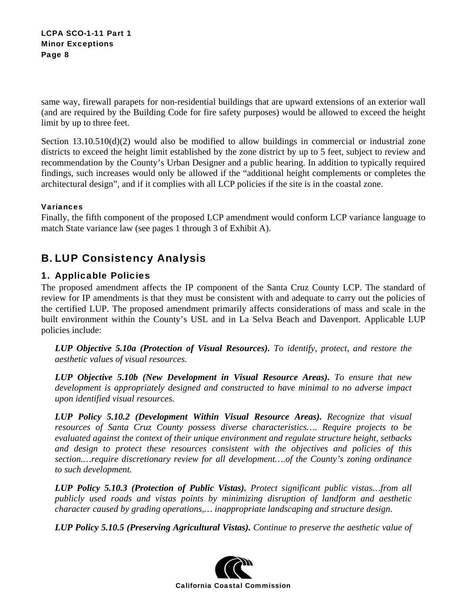LCPA SCO-1-11 Part 1 Minor Exceptions Page 8

same way, firewall parapets for non-residential buildings that are upward extensions of an exterior wall (and are required by the Building Code for fire safety purposes) would be allowed to exceed the height limit by up to three feet.

Section  $13.10.510(d)(2)$  would also be modified to allow buildings in commercial or industrial zone districts to exceed the height limit established by the zone district by up to 5 feet, subject to review and recommendation by the County's Urban Designer and a public hearing. In addition to typically required findings, such increases would only be allowed if the "additional height complements or completes the architectural design", and if it complies with all LCP policies if the site is in the coastal zone.

#### Variances

Finally, the fifth component of the proposed LCP amendment would conform LCP variance language to match State variance law (see pages 1 through 3 of Exhibit A).

## B. LUP Consistency Analysis

### 1. Applicable Policies

The proposed amendment affects the IP component of the Santa Cruz County LCP. The standard of review for IP amendments is that they must be consistent with and adequate to carry out the policies of the certified LUP. The proposed amendment primarily affects considerations of mass and scale in the built environment within the County's USL and in La Selva Beach and Davenport. Applicable LUP policies include:

*LUP Objective 5.10a (Protection of Visual Resources). To identify, protect, and restore the aesthetic values of visual resources.* 

*LUP Objective 5.10b (New Development in Visual Resource Areas). To ensure that new development is appropriately designed and constructed to have minimal to no adverse impact upon identified visual resources.* 

*LUP Policy 5.10.2 (Development Within Visual Resource Areas). Recognize that visual resources of Santa Cruz County possess diverse characteristics…. Require projects to be evaluated against the context of their unique environment and regulate structure height, setbacks and design to protect these resources consistent with the objectives and policies of this section.…require discretionary review for all development….of the County's zoning ordinance to such development.* 

*LUP Policy 5.10.3 (Protection of Public Vistas). Protect significant public vistas…from all publicly used roads and vistas points by minimizing disruption of landform and aesthetic character caused by grading operations,… inappropriate landscaping and structure design.* 

*LUP Policy 5.10.5 (Preserving Agricultural Vistas). Continue to preserve the aesthetic value of* 

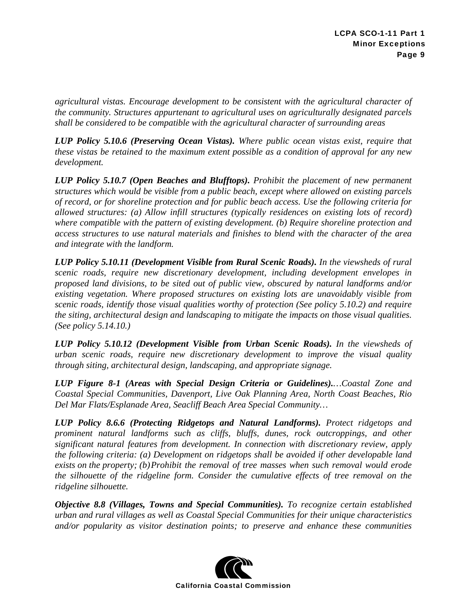*agricultural vistas. Encourage development to be consistent with the agricultural character of the community. Structures appurtenant to agricultural uses on agriculturally designated parcels shall be considered to be compatible with the agricultural character of surrounding areas* 

*LUP Policy 5.10.6 (Preserving Ocean Vistas). Where public ocean vistas exist, require that these vistas be retained to the maximum extent possible as a condition of approval for any new development.* 

*LUP Policy 5.10.7 (Open Beaches and Blufftops). Prohibit the placement of new permanent structures which would be visible from a public beach, except where allowed on existing parcels of record, or for shoreline protection and for public beach access. Use the following criteria for allowed structures: (a) Allow infill structures (typically residences on existing lots of record) where compatible with the pattern of existing development. (b) Require shoreline protection and access structures to use natural materials and finishes to blend with the character of the area and integrate with the landform.* 

*LUP Policy 5.10.11 (Development Visible from Rural Scenic Roads). In the viewsheds of rural scenic roads, require new discretionary development, including development envelopes in proposed land divisions, to be sited out of public view, obscured by natural landforms and/or existing vegetation. Where proposed structures on existing lots are unavoidably visible from scenic roads, identify those visual qualities worthy of protection (See policy 5.10.2) and require the siting, architectural design and landscaping to mitigate the impacts on those visual qualities. (See policy 5.14.10.)* 

*LUP Policy 5.10.12 (Development Visible from Urban Scenic Roads). In the viewsheds of urban scenic roads, require new discretionary development to improve the visual quality through siting, architectural design, landscaping, and appropriate signage.* 

*LUP Figure 8-1 (Areas with Special Design Criteria or Guidelines).…Coastal Zone and Coastal Special Communities, Davenport, Live Oak Planning Area, North Coast Beaches, Rio Del Mar Flats/Esplanade Area, Seacliff Beach Area Special Community…* 

*LUP Policy 8.6.6 (Protecting Ridgetops and Natural Landforms). Protect ridgetops and prominent natural landforms such as cliffs, bluffs, dunes, rock outcroppings, and other significant natural features from development. In connection with discretionary review, apply the following criteria: (a) Development on ridgetops shall be avoided if other developable land exists on the property; (b) Prohibit the removal of tree masses when such removal would erode the silhouette of the ridgeline form. Consider the cumulative effects of tree removal on the ridgeline silhouette.* 

*Objective 8.8 (Villages, Towns and Special Communities). To recognize certain established urban and rural villages as well as Coastal Special Communities for their unique characteristics and/or popularity as visitor destination points; to preserve and enhance these communities* 

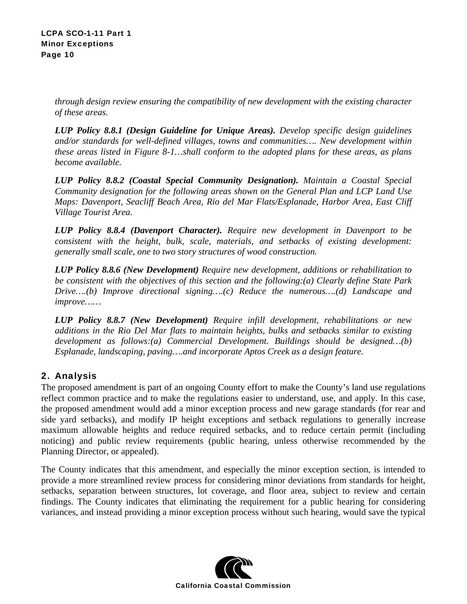*through design review ensuring the compatibility of new development with the existing character of these areas.* 

*LUP Policy 8.8.1 (Design Guideline for Unique Areas). Develop specific design guidelines and/or standards for well-defined villages, towns and communities…. New development within these areas listed in Figure 8-1…shall conform to the adopted plans for these areas, as plans become available.* 

*LUP Policy 8.8.2 (Coastal Special Community Designation). Maintain a Coastal Special Community designation for the following areas shown on the General Plan and LCP Land Use Maps: Davenport, Seacliff Beach Area, Rio del Mar Flats/Esplanade, Harbor Area, East Cliff Village Tourist Area.* 

*LUP Policy 8.8.4 (Davenport Character). Require new development in Davenport to be consistent with the height, bulk, scale, materials, and setbacks of existing development: generally small scale, one to two story structures of wood construction.* 

*LUP Policy 8.8.6 (New Development) Require new development, additions or rehabilitation to be consistent with the objectives of this section and the following:(a) Clearly define State Park Drive….(b) Improve directional signing….(c) Reduce the numerous….(d) Landscape and improve……* 

*LUP Policy 8.8.7 (New Development) Require infill development, rehabilitations or new additions in the Rio Del Mar flats to maintain heights, bulks and setbacks similar to existing development as follows:(a) Commercial Development. Buildings should be designed…(b) Esplanade, landscaping, paving….and incorporate Aptos Creek as a design feature.* 

## 2. Analysis

The proposed amendment is part of an ongoing County effort to make the County's land use regulations reflect common practice and to make the regulations easier to understand, use, and apply. In this case, the proposed amendment would add a minor exception process and new garage standards (for rear and side yard setbacks), and modify IP height exceptions and setback regulations to generally increase maximum allowable heights and reduce required setbacks, and to reduce certain permit (including noticing) and public review requirements (public hearing, unless otherwise recommended by the Planning Director, or appealed).

The County indicates that this amendment, and especially the minor exception section, is intended to provide a more streamlined review process for considering minor deviations from standards for height, setbacks, separation between structures, lot coverage, and floor area, subject to review and certain findings. The County indicates that eliminating the requirement for a public hearing for considering variances, and instead providing a minor exception process without such hearing, would save the typical

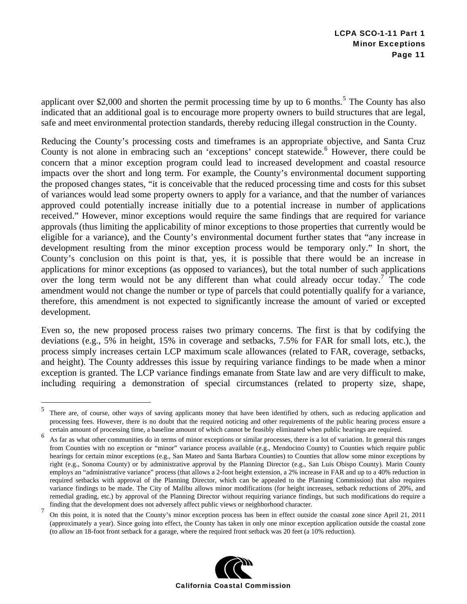applicant over \$2,000 and shorten the permit processing time by up to 6 months.<sup>[5](#page-10-0)</sup> The County has also indicated that an additional goal is to encourage more property owners to build structures that are legal, safe and meet environmental protection standards, thereby reducing illegal construction in the County.

Reducing the County's processing costs and timeframes is an appropriate objective, and Santa Cruz County is not alone in embracing such an 'exceptions' concept statewide.<sup>[6](#page-10-1)</sup> However, there could be concern that a minor exception program could lead to increased development and coastal resource impacts over the short and long term. For example, the County's environmental document supporting the proposed changes states, "it is conceivable that the reduced processing time and costs for this subset of variances would lead some property owners to apply for a variance, and that the number of variances approved could potentially increase initially due to a potential increase in number of applications received." However, minor exceptions would require the same findings that are required for variance approvals (thus limiting the applicability of minor exceptions to those properties that currently would be eligible for a variance), and the County's environmental document further states that "any increase in development resulting from the minor exception process would be temporary only." In short, the County's conclusion on this point is that, yes, it is possible that there would be an increase in applications for minor exceptions (as opposed to variances), but the total number of such applications over the long term would not be any different than what could already occur today.<sup>[7](#page-10-2)</sup> The code amendment would not change the number or type of parcels that could potentially qualify for a variance, therefore, this amendment is not expected to significantly increase the amount of varied or excepted development.

Even so, the new proposed process raises two primary concerns. The first is that by codifying the deviations (e.g., 5% in height, 15% in coverage and setbacks, 7.5% for FAR for small lots, etc.), the process simply increases certain LCP maximum scale allowances (related to FAR, coverage, setbacks, and height). The County addresses this issue by requiring variance findings to be made when a minor exception is granted. The LCP variance findings emanate from State law and are very difficult to make, including requiring a demonstration of special circumstances (related to property size, shape,

1

<span id="page-10-2"></span><sup>7</sup> On this point, it is noted that the County's minor exception process has been in effect outside the coastal zone since April 21, 2011 (approximately a year). Since going into effect, the County has taken in only one minor exception application outside the coastal zone (to allow an 18-foot front setback for a garage, where the required front setback was 20 feet (a 10% reduction).



<span id="page-10-0"></span><sup>5</sup> There are, of course, other ways of saving applicants money that have been identified by others, such as reducing application and processing fees. However, there is no doubt that the required noticing and other requirements of the public hearing process ensure a certain amount of processing time, a baseline amount of which cannot be feasibly eliminated when public hearings are required.

<span id="page-10-1"></span><sup>6</sup> As far as what other communities do in terms of minor exceptions or similar processes, there is a lot of variation. In general this ranges from Counties with no exception or "minor" variance process available (e.g., Mendocino County) to Counties which require public hearings for certain minor exceptions (e.g., San Mateo and Santa Barbara Counties) to Counties that allow some minor exceptions by right (e.g., Sonoma County) or by administrative approval by the Planning Director (e.g., San Luis Obispo County). Marin County employs an "administrative variance" process (that allows a 2-foot height extension, a 2% increase in FAR and up to a 40% reduction in required setbacks with approval of the Planning Director, which can be appealed to the Planning Commission) that also requires variance findings to be made. The City of Malibu allows minor modifications (for height increases, setback reductions of 20%, and remedial grading, etc.) by approval of the Planning Director without requiring variance findings, but such modifications do require a finding that the development does not adversely affect public views or neighborhood character.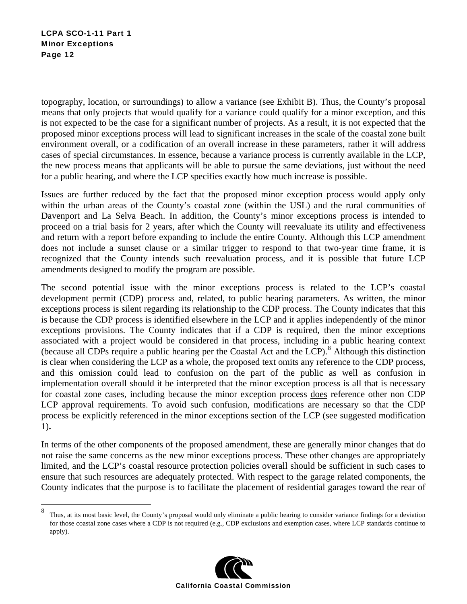#### LCPA SCO-1-11 Part 1 Minor Exceptions Page 12

 $\overline{a}$ 

topography, location, or surroundings) to allow a variance (see Exhibit B). Thus, the County's proposal means that only projects that would qualify for a variance could qualify for a minor exception, and this is not expected to be the case for a significant number of projects. As a result, it is not expected that the proposed minor exceptions process will lead to significant increases in the scale of the coastal zone built environment overall, or a codification of an overall increase in these parameters, rather it will address cases of special circumstances. In essence, because a variance process is currently available in the LCP, the new process means that applicants will be able to pursue the same deviations, just without the need for a public hearing, and where the LCP specifies exactly how much increase is possible.

Issues are further reduced by the fact that the proposed minor exception process would apply only within the urban areas of the County's coastal zone (within the USL) and the rural communities of Davenport and La Selva Beach. In addition, the County's minor exceptions process is intended to proceed on a trial basis for 2 years, after which the County will reevaluate its utility and effectiveness and return with a report before expanding to include the entire County. Although this LCP amendment does not include a sunset clause or a similar trigger to respond to that two-year time frame, it is recognized that the County intends such reevaluation process, and it is possible that future LCP amendments designed to modify the program are possible.

The second potential issue with the minor exceptions process is related to the LCP's coastal development permit (CDP) process and, related, to public hearing parameters. As written, the minor exceptions process is silent regarding its relationship to the CDP process. The County indicates that this is because the CDP process is identified elsewhere in the LCP and it applies independently of the minor exceptions provisions. The County indicates that if a CDP is required, then the minor exceptions associated with a project would be considered in that process, including in a public hearing context (because all CDPs require a public hearing per the Coastal Act and the LCP).<sup>[8](#page-11-0)</sup> Although this distinction is clear when considering the LCP as a whole, the proposed text omits any reference to the CDP process, and this omission could lead to confusion on the part of the public as well as confusion in implementation overall should it be interpreted that the minor exception process is all that is necessary for coastal zone cases, including because the minor exception process does reference other non CDP LCP approval requirements. To avoid such confusion, modifications are necessary so that the CDP process be explicitly referenced in the minor exceptions section of the LCP (see suggested modification 1)**.**

In terms of the other components of the proposed amendment, these are generally minor changes that do not raise the same concerns as the new minor exceptions process. These other changes are appropriately limited, and the LCP's coastal resource protection policies overall should be sufficient in such cases to ensure that such resources are adequately protected. With respect to the garage related components, the County indicates that the purpose is to facilitate the placement of residential garages toward the rear of

<span id="page-11-0"></span><sup>8</sup> Thus, at its most basic level, the County's proposal would only eliminate a public hearing to consider variance findings for a deviation for those coastal zone cases where a CDP is not required (e.g., CDP exclusions and exemption cases, where LCP standards continue to apply).

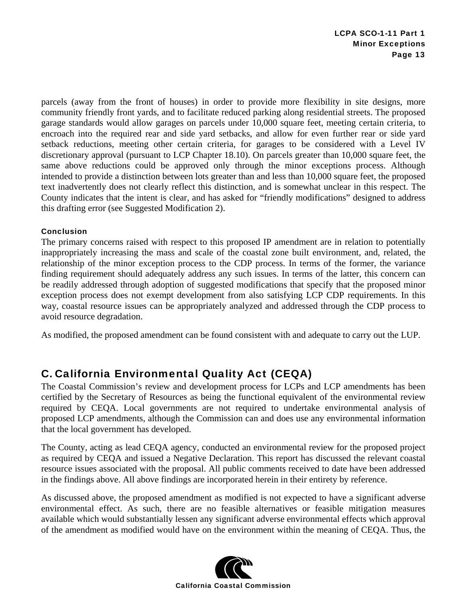parcels (away from the front of houses) in order to provide more flexibility in site designs, more community friendly front yards, and to facilitate reduced parking along residential streets. The proposed garage standards would allow garages on parcels under 10,000 square feet, meeting certain criteria, to encroach into the required rear and side yard setbacks, and allow for even further rear or side yard setback reductions, meeting other certain criteria, for garages to be considered with a Level IV discretionary approval (pursuant to LCP Chapter 18.10). On parcels greater than 10,000 square feet, the same above reductions could be approved only through the minor exceptions process. Although intended to provide a distinction between lots greater than and less than 10,000 square feet, the proposed text inadvertently does not clearly reflect this distinction, and is somewhat unclear in this respect. The County indicates that the intent is clear, and has asked for "friendly modifications" designed to address this drafting error (see Suggested Modification 2).

#### Conclusion

The primary concerns raised with respect to this proposed IP amendment are in relation to potentially inappropriately increasing the mass and scale of the coastal zone built environment, and, related, the relationship of the minor exception process to the CDP process. In terms of the former, the variance finding requirement should adequately address any such issues. In terms of the latter, this concern can be readily addressed through adoption of suggested modifications that specify that the proposed minor exception process does not exempt development from also satisfying LCP CDP requirements. In this way, coastal resource issues can be appropriately analyzed and addressed through the CDP process to avoid resource degradation.

As modified, the proposed amendment can be found consistent with and adequate to carry out the LUP.

## C. California Environmental Quality Act (CEQA)

The Coastal Commission's review and development process for LCPs and LCP amendments has been certified by the Secretary of Resources as being the functional equivalent of the environmental review required by CEQA. Local governments are not required to undertake environmental analysis of proposed LCP amendments, although the Commission can and does use any environmental information that the local government has developed.

The County, acting as lead CEQA agency, conducted an environmental review for the proposed project as required by CEQA and issued a Negative Declaration. This report has discussed the relevant coastal resource issues associated with the proposal. All public comments received to date have been addressed in the findings above. All above findings are incorporated herein in their entirety by reference.

As discussed above, the proposed amendment as modified is not expected to have a significant adverse environmental effect. As such, there are no feasible alternatives or feasible mitigation measures available which would substantially lessen any significant adverse environmental effects which approval of the amendment as modified would have on the environment within the meaning of CEQA. Thus, the

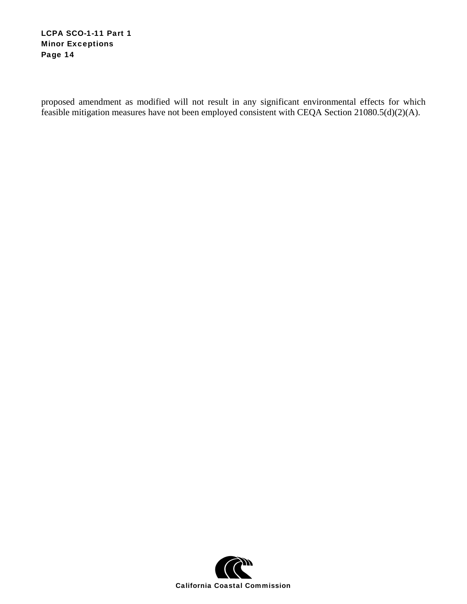#### LCPA SCO-1-11 Part 1 Minor Exceptions Page 14

proposed amendment as modified will not result in any significant environmental effects for which feasible mitigation measures have not been employed consistent with CEQA Section 21080.5(d)(2)(A).

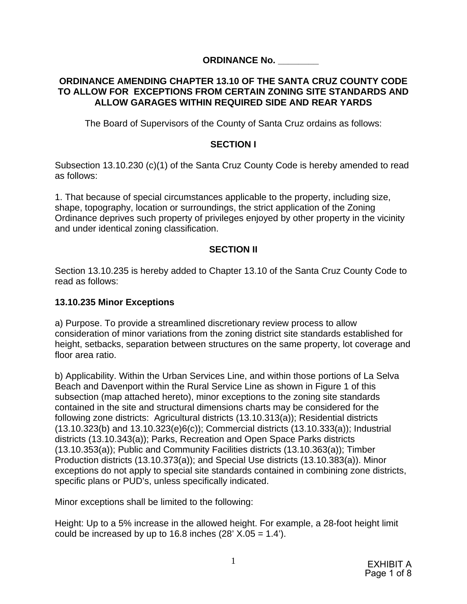## **ORDINANCE No. \_\_\_\_\_\_\_\_**

### **ORDINANCE AMENDING CHAPTER 13.10 OF THE SANTA CRUZ COUNTY CODE TO ALLOW FOR EXCEPTIONS FROM CERTAIN ZONING SITE STANDARDS AND ALLOW GARAGES WITHIN REQUIRED SIDE AND REAR YARDS**

The Board of Supervisors of the County of Santa Cruz ordains as follows:

## **SECTION I**

Subsection 13.10.230 (c)(1) of the Santa Cruz County Code is hereby amended to read as follows:

1. That because of special circumstances applicable to the property, including size, shape, topography, location or surroundings, the strict application of the Zoning Ordinance deprives such property of privileges enjoyed by other property in the vicinity and under identical zoning classification.

## **SECTION II**

Section 13.10.235 is hereby added to Chapter 13.10 of the Santa Cruz County Code to read as follows:

## **13.10.235 Minor Exceptions**

a) Purpose. To provide a streamlined discretionary review process to allow consideration of minor variations from the zoning district site standards established for height, setbacks, separation between structures on the same property, lot coverage and floor area ratio.

b) Applicability. Within the Urban Services Line, and within those portions of La Selva Beach and Davenport within the Rural Service Line as shown in Figure 1 of this subsection (map attached hereto), minor exceptions to the zoning site standards contained in the site and structural dimensions charts may be considered for the following zone districts: Agricultural districts (13.10.313(a)); Residential districts (13.10.323(b) and 13.10.323(e)6(c)); Commercial districts (13.10.333(a)); Industrial districts (13.10.343(a)); Parks, Recreation and Open Space Parks districts (13.10.353(a)); Public and Community Facilities districts (13.10.363(a)); Timber Production districts (13.10.373(a)); and Special Use districts (13.10.383(a)). Minor exceptions do not apply to special site standards contained in combining zone districts, specific plans or PUD's, unless specifically indicated.

Minor exceptions shall be limited to the following:

Height: Up to a 5% increase in the allowed height. For example, a 28-foot height limit could be increased by up to 16.8 inches  $(28' X.05 = 1.4')$ .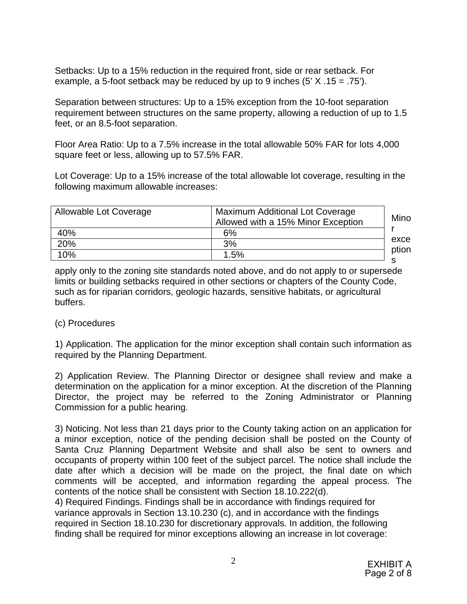Setbacks: Up to a 15% reduction in the required front, side or rear setback. For example, a 5-foot setback may be reduced by up to 9 inches (5' X .15 = .75').

Separation between structures: Up to a 15% exception from the 10-foot separation requirement between structures on the same property, allowing a reduction of up to 1.5 feet, or an 8.5-foot separation.

Floor Area Ratio: Up to a 7.5% increase in the total allowable 50% FAR for lots 4,000 square feet or less, allowing up to 57.5% FAR.

Lot Coverage: Up to a 15% increase of the total allowable lot coverage, resulting in the following maximum allowable increases:

| Allowable Lot Coverage | Maximum Additional Lot Coverage<br>Allowed with a 15% Minor Exception | Mino          |
|------------------------|-----------------------------------------------------------------------|---------------|
| 40%                    | 6%                                                                    |               |
| 20%                    | 3%                                                                    | exce<br>ption |
| 10%                    | 1.5%                                                                  |               |
|                        |                                                                       |               |

apply only to the zoning site standards noted above, and do not apply to or supersede limits or building setbacks required in other sections or chapters of the County Code, such as for riparian corridors, geologic hazards, sensitive habitats, or agricultural buffers.

### (c) Procedures

1) Application. The application for the minor exception shall contain such information as required by the Planning Department.

2) Application Review. The Planning Director or designee shall review and make a determination on the application for a minor exception. At the discretion of the Planning Director, the project may be referred to the Zoning Administrator or Planning Commission for a public hearing.

3) Noticing. Not less than 21 days prior to the County taking action on an application for a minor exception, notice of the pending decision shall be posted on the County of Santa Cruz Planning Department Website and shall also be sent to owners and occupants of property within 100 feet of the subject parcel. The notice shall include the date after which a decision will be made on the project, the final date on which comments will be accepted, and information regarding the appeal process. The contents of the notice shall be consistent with Section 18.10.222(d).

4) Required Findings. Findings shall be in accordance with findings required for variance approvals in Section 13.10.230 (c), and in accordance with the findings required in Section 18.10.230 for discretionary approvals. In addition, the following finding shall be required for minor exceptions allowing an increase in lot coverage: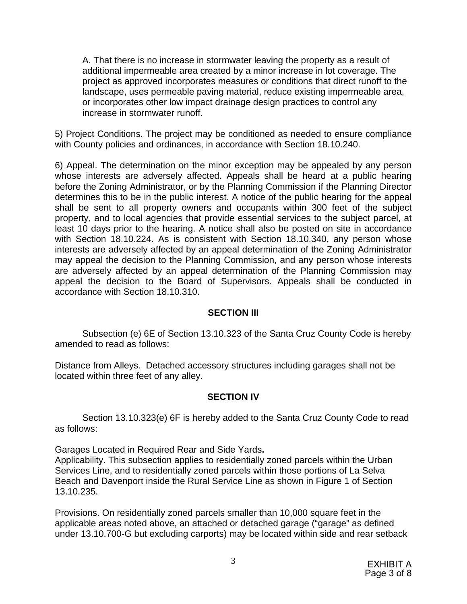A. That there is no increase in stormwater leaving the property as a result of additional impermeable area created by a minor increase in lot coverage. The project as approved incorporates measures or conditions that direct runoff to the landscape, uses permeable paving material, reduce existing impermeable area, or incorporates other low impact drainage design practices to control any increase in stormwater runoff.

5) Project Conditions. The project may be conditioned as needed to ensure compliance with County policies and ordinances, in accordance with Section 18.10.240.

6) Appeal. The determination on the minor exception may be appealed by any person whose interests are adversely affected. Appeals shall be heard at a public hearing before the Zoning Administrator, or by the Planning Commission if the Planning Director determines this to be in the public interest. A notice of the public hearing for the appeal shall be sent to all property owners and occupants within 300 feet of the subject property, and to local agencies that provide essential services to the subject parcel, at least 10 days prior to the hearing. A notice shall also be posted on site in accordance with Section 18.10.224. As is consistent with Section 18.10.340, any person whose interests are adversely affected by an appeal determination of the Zoning Administrator may appeal the decision to the Planning Commission, and any person whose interests are adversely affected by an appeal determination of the Planning Commission may appeal the decision to the Board of Supervisors. Appeals shall be conducted in accordance with Section 18.10.310.

### **SECTION III**

Subsection (e) 6E of Section 13.10.323 of the Santa Cruz County Code is hereby amended to read as follows:

Distance from Alleys. Detached accessory structures including garages shall not be located within three feet of any alley.

### **SECTION IV**

Section 13.10.323(e) 6F is hereby added to the Santa Cruz County Code to read as follows:

Garages Located in Required Rear and Side Yards**.**  Applicability. This subsection applies to residentially zoned parcels within the Urban Services Line, and to residentially zoned parcels within those portions of La Selva Beach and Davenport inside the Rural Service Line as shown in Figure 1 of Section 13.10.235.

Provisions. On residentially zoned parcels smaller than 10,000 square feet in the applicable areas noted above, an attached or detached garage ("garage" as defined under 13.10.700-G but excluding carports) may be located within side and rear setback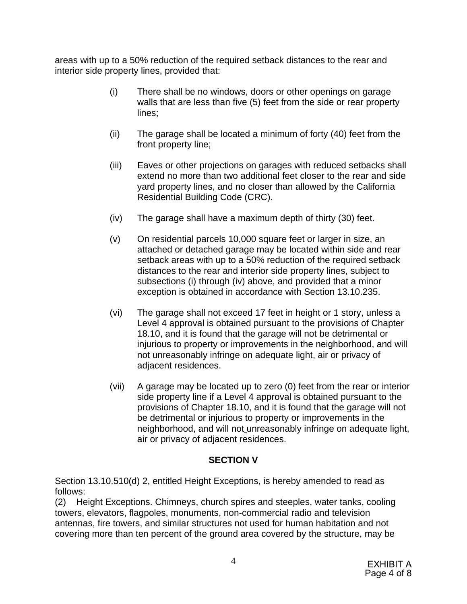areas with up to a 50% reduction of the required setback distances to the rear and interior side property lines, provided that:

- (i) There shall be no windows, doors or other openings on garage walls that are less than five (5) feet from the side or rear property lines;
- (ii) The garage shall be located a minimum of forty (40) feet from the front property line;
- (iii) Eaves or other projections on garages with reduced setbacks shall extend no more than two additional feet closer to the rear and side yard property lines, and no closer than allowed by the California Residential Building Code (CRC).
- (iv) The garage shall have a maximum depth of thirty (30) feet.
- (v) On residential parcels 10,000 square feet or larger in size, an attached or detached garage may be located within side and rear setback areas with up to a 50% reduction of the required setback distances to the rear and interior side property lines, subject to subsections (i) through (iv) above, and provided that a minor exception is obtained in accordance with Section 13.10.235.
- (vi) The garage shall not exceed 17 feet in height or 1 story, unless a Level 4 approval is obtained pursuant to the provisions of Chapter 18.10, and it is found that the garage will not be detrimental or injurious to property or improvements in the neighborhood, and will not unreasonably infringe on adequate light, air or privacy of adjacent residences.
- (vii) A garage may be located up to zero (0) feet from the rear or interior side property line if a Level 4 approval is obtained pursuant to the provisions of Chapter 18.10, and it is found that the garage will not be detrimental or injurious to property or improvements in the neighborhood, and will not unreasonably infringe on adequate light, air or privacy of adjacent residences.

## **SECTION V**

Section 13.10.510(d) 2, entitled Height Exceptions, is hereby amended to read as follows:

(2) Height Exceptions. Chimneys, church spires and steeples, water tanks, cooling towers, elevators, flagpoles, monuments, non-commercial radio and television antennas, fire towers, and similar structures not used for human habitation and not covering more than ten percent of the ground area covered by the structure, may be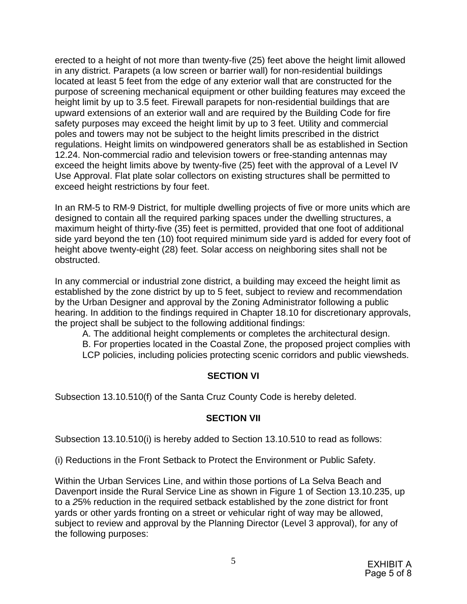erected to a height of not more than twenty-five (25) feet above the height limit allowed in any district. Parapets (a low screen or barrier wall) for non-residential buildings located at least 5 feet from the edge of any exterior wall that are constructed for the purpose of screening mechanical equipment or other building features may exceed the height limit by up to 3.5 feet. Firewall parapets for non-residential buildings that are upward extensions of an exterior wall and are required by the Building Code for fire safety purposes may exceed the height limit by up to 3 feet. Utility and commercial poles and towers may not be subject to the height limits prescribed in the district regulations. Height limits on windpowered generators shall be as established in Section 12.24. Non-commercial radio and television towers or free-standing antennas may exceed the height limits above by twenty-five (25) feet with the approval of a Level IV Use Approval. Flat plate solar collectors on existing structures shall be permitted to exceed height restrictions by four feet.

In an RM-5 to RM-9 District, for multiple dwelling projects of five or more units which are designed to contain all the required parking spaces under the dwelling structures, a maximum height of thirty-five (35) feet is permitted, provided that one foot of additional side yard beyond the ten (10) foot required minimum side yard is added for every foot of height above twenty-eight (28) feet. Solar access on neighboring sites shall not be obstructed.

In any commercial or industrial zone district, a building may exceed the height limit as established by the zone district by up to 5 feet, subject to review and recommendation by the Urban Designer and approval by the Zoning Administrator following a public hearing. In addition to the findings required in Chapter 18.10 for discretionary approvals, the project shall be subject to the following additional findings:

A. The additional height complements or completes the architectural design.

B. For properties located in the Coastal Zone, the proposed project complies with LCP policies, including policies protecting scenic corridors and public viewsheds.

## **SECTION VI**

Subsection 13.10.510(f) of the Santa Cruz County Code is hereby deleted.

## **SECTION VII**

Subsection 13.10.510(i) is hereby added to Section 13.10.510 to read as follows:

(i) Reductions in the Front Setback to Protect the Environment or Public Safety.

Within the Urban Services Line, and within those portions of La Selva Beach and Davenport inside the Rural Service Line as shown in Figure 1 of Section 13.10.235, up to a *2*5% reduction in the required setback established by the zone district for front yards or other yards fronting on a street or vehicular right of way may be allowed, subject to review and approval by the Planning Director (Level 3 approval), for any of the following purposes: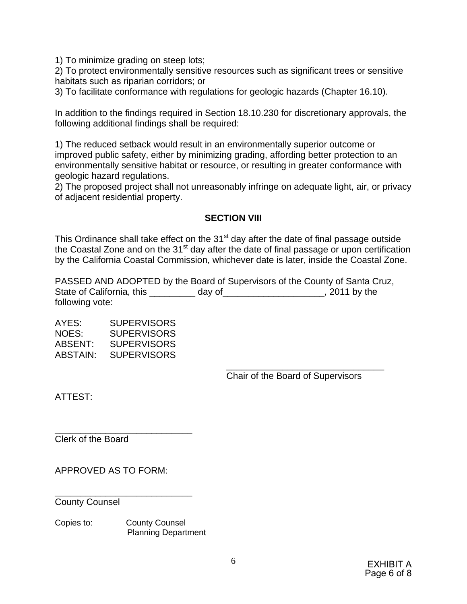1) To minimize grading on steep lots;

2) To protect environmentally sensitive resources such as significant trees or sensitive habitats such as riparian corridors; or

3) To facilitate conformance with regulations for geologic hazards (Chapter 16.10).

In addition to the findings required in Section 18.10.230 for discretionary approvals, the following additional findings shall be required:

1) The reduced setback would result in an environmentally superior outcome or improved public safety, either by minimizing grading, affording better protection to an environmentally sensitive habitat or resource, or resulting in greater conformance with geologic hazard regulations.

2) The proposed project shall not unreasonably infringe on adequate light, air, or privacy of adjacent residential property.

## **SECTION VIII**

This Ordinance shall take effect on the  $31<sup>st</sup>$  day after the date of final passage outside the Coastal Zone and on the 31<sup>st</sup> day after the date of final passage or upon certification by the California Coastal Commission, whichever date is later, inside the Coastal Zone.

PASSED AND ADOPTED by the Board of Supervisors of the County of Santa Cruz, State of California, this \_\_\_\_\_\_\_\_\_ day of\_\_\_\_\_\_\_\_\_\_\_\_\_\_\_\_\_\_\_\_, 2011 by the following vote:

AYES: SUPERVISORS NOES: SUPERVISORS<br>ABSENT: SUPERVISORS **SUPERVISORS** ABSTAIN: SUPERVISORS

Chair of the Board of Supervisors

\_\_\_\_\_\_\_\_\_\_\_\_\_\_\_\_\_\_\_\_\_\_\_\_\_\_\_\_\_\_\_

ATTEST:

Clerk of the Board

APPROVED AS TO FORM:

\_\_\_\_\_\_\_\_\_\_\_\_\_\_\_\_\_\_\_\_\_\_\_\_\_\_\_

\_\_\_\_\_\_\_\_\_\_\_\_\_\_\_\_\_\_\_\_\_\_\_\_\_\_\_

County Counsel

Copies to: County Counsel Planning Department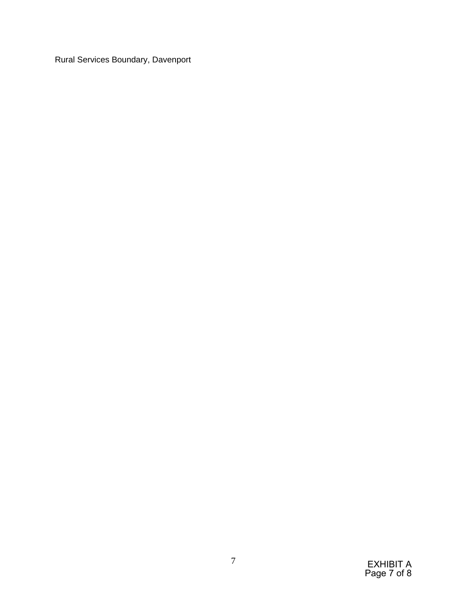Rural Services Boundary, Davenport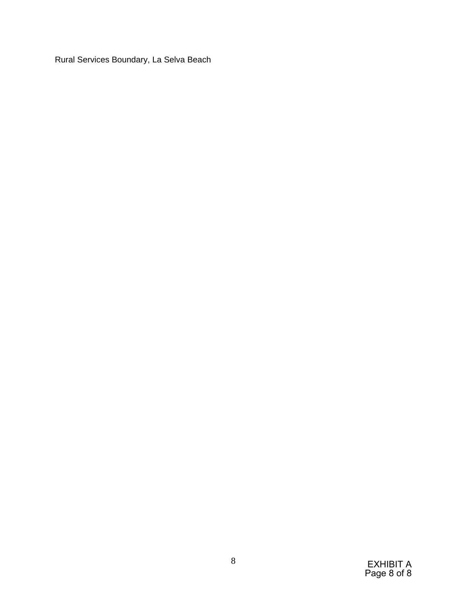Rural Services Boundary, La Selva Beach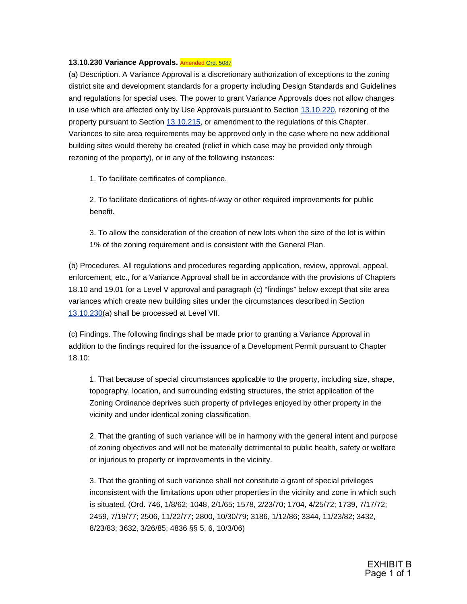#### **13.10.230 Variance Approvals.** Amended [Ord. 5087](http://www.codepublishing.com/ca/santacruzcounty/html/ords/Ord_5087.pdf)

(a) Description. A Variance Approval is a discretionary authorization of exceptions to the zoning district site and development standards for a property including Design Standards and Guidelines and regulations for special uses. The power to grant Variance Approvals does not allow changes in use which are affected only by Use Approvals pursuant to Section [13.10.220](http://www.codepublishing.com/ca/santacruzcounty/html/SantaCruzCounty13/SantaCruzCounty1310.html#13.10.220), rezoning of the property pursuant to Section [13.10.215,](http://www.codepublishing.com/ca/santacruzcounty/html/SantaCruzCounty13/SantaCruzCounty1310.html#13.10.215) or amendment to the regulations of this Chapter. Variances to site area requirements may be approved only in the case where no new additional building sites would thereby be created (relief in which case may be provided only through rezoning of the property), or in any of the following instances:

1. To facilitate certificates of compliance.

2. To facilitate dedications of rights-of-way or other required improvements for public benefit.

3. To allow the consideration of the creation of new lots when the size of the lot is within 1% of the zoning requirement and is consistent with the General Plan.

(b) Procedures. All regulations and procedures regarding application, review, approval, appeal, enforcement, etc., for a Variance Approval shall be in accordance with the provisions of Chapters 18.10 and 19.01 for a Level V approval and paragraph (c) "findings" below except that site area variances which create new building sites under the circumstances described in Section [13.10.230\(](http://www.codepublishing.com/ca/santacruzcounty/html/SantaCruzCounty13/SantaCruzCounty1310.html#13.10.230)a) shall be processed at Level VII.

(c) Findings. The following findings shall be made prior to granting a Variance Approval in addition to the findings required for the issuance of a Development Permit pursuant to Chapter 18.10:

1. That because of special circumstances applicable to the property, including size, shape, topography, location, and surrounding existing structures, the strict application of the Zoning Ordinance deprives such property of privileges enjoyed by other property in the vicinity and under identical zoning classification.

2. That the granting of such variance will be in harmony with the general intent and purpose of zoning objectives and will not be materially detrimental to public health, safety or welfare or injurious to property or improvements in the vicinity.

3. That the granting of such variance shall not constitute a grant of special privileges inconsistent with the limitations upon other properties in the vicinity and zone in which such is situated. (Ord. 746, 1/8/62; 1048, 2/1/65; 1578, 2/23/70; 1704, 4/25/72; 1739, 7/17/72; 2459, 7/19/77; 2506, 11/22/77; 2800, 10/30/79; 3186, 1/12/86; 3344, 11/23/82; 3432, 8/23/83; 3632, 3/26/85; 4836 §§ 5, 6, 10/3/06)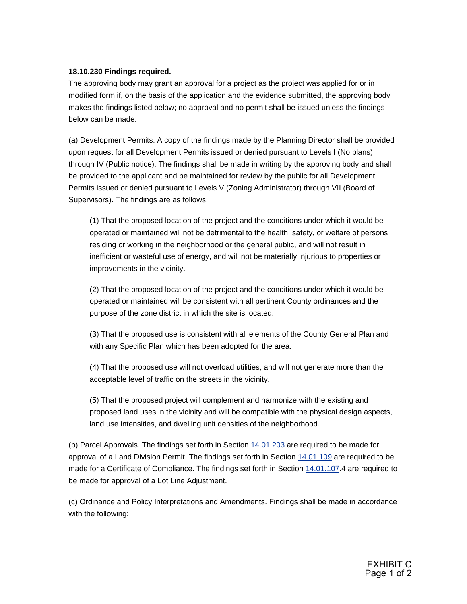#### **18.10.230 Findings required.**

The approving body may grant an approval for a project as the project was applied for or in modified form if, on the basis of the application and the evidence submitted, the approving body makes the findings listed below; no approval and no permit shall be issued unless the findings below can be made:

(a) Development Permits. A copy of the findings made by the Planning Director shall be provided upon request for all Development Permits issued or denied pursuant to Levels I (No plans) through IV (Public notice). The findings shall be made in writing by the approving body and shall be provided to the applicant and be maintained for review by the public for all Development Permits issued or denied pursuant to Levels V (Zoning Administrator) through VII (Board of Supervisors). The findings are as follows:

(1) That the proposed location of the project and the conditions under which it would be operated or maintained will not be detrimental to the health, safety, or welfare of persons residing or working in the neighborhood or the general public, and will not result in inefficient or wasteful use of energy, and will not be materially injurious to properties or improvements in the vicinity.

(2) That the proposed location of the project and the conditions under which it would be operated or maintained will be consistent with all pertinent County ordinances and the purpose of the zone district in which the site is located.

(3) That the proposed use is consistent with all elements of the County General Plan and with any Specific Plan which has been adopted for the area.

(4) That the proposed use will not overload utilities, and will not generate more than the acceptable level of traffic on the streets in the vicinity.

(5) That the proposed project will complement and harmonize with the existing and proposed land uses in the vicinity and will be compatible with the physical design aspects, land use intensities, and dwelling unit densities of the neighborhood.

(b) Parcel Approvals. The findings set forth in Section [14.01.203](http://www.codepublishing.com/ca/santacruzcounty/html/SantaCruzCounty14/SantaCruzCounty1401.html#14.01.203) are required to be made for approval of a Land Division Permit. The findings set forth in Section [14.01.109](http://www.codepublishing.com/ca/santacruzcounty/html/SantaCruzCounty14/SantaCruzCounty1401.html#14.01.109) are required to be made for a Certificate of Compliance. The findings set forth in Section [14.01.107](http://www.codepublishing.com/ca/santacruzcounty/html/SantaCruzCounty14/SantaCruzCounty1401.html#14.01.107).4 are required to be made for approval of a Lot Line Adjustment.

(c) Ordinance and Policy Interpretations and Amendments. Findings shall be made in accordance with the following: